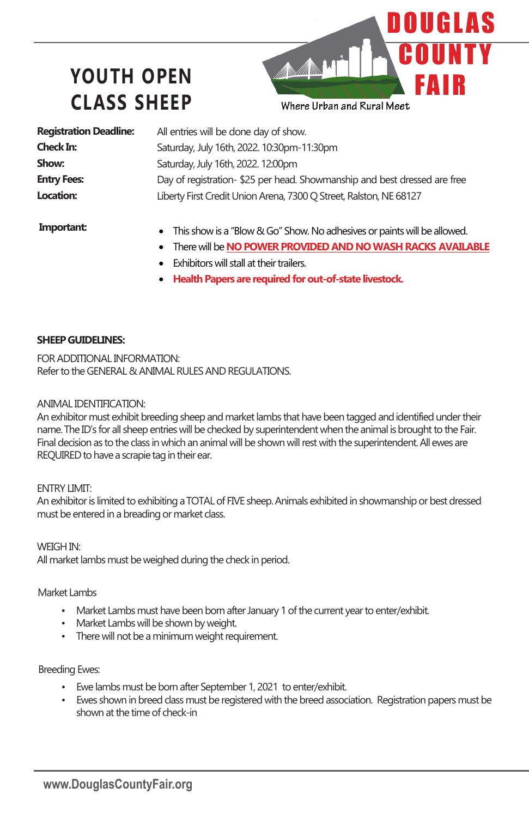# **YOUTH OPEN CLASS SHEEP**

**Registration Deadline: Check In: Show: Entry Fees: Location:**

All entries will be done day of show. Saturday, July 16th, 2022. 10:30pm-11:30pm Saturday, July 16th, 2022. 12:00pm Day of registration- \$25 per head. Showmanship and best dressed are free Liberty First Credit Union Arena, 7300 Q Street, Ralston, NE 68127

Where Urban and Rural Meet

AMH

OUGLAS

FAI

**Important:**

- This show is a "Blow & Go" Show. No adhesives or paints will be allowed.
- There will be **NO POWER PROVIDED AND NO WASH RACKS AVAILABLE**
- **Exhibitors will stall at their trailers.**
- **Health Papers are required for out-of-state livestock.**

#### **SHEEPGUIDELINES:**

FOR ADDITIONAL INFORMATION: Refer to the GENERAL & ANIMAL RULES AND REGULATIONS.

#### ANIMAL IDENTIFICATION:

An exhibitor must exhibit breeding sheep and market lambs that have been tagged andidentified under their name. The ID's for all sheep entries will be checked by superintendent when the animal is brought to the Fair. Final decision as to the class in which an animal will be shown will rest with the superintendent. All ewes are REQUIRED to have a scrapie tag in their ear.

#### ENTRY LIMIT:

An exhibitor is limited to exhibiting a TOTAL of FIVE sheep. Animals exhibited in showmanship or best dressed must be entered in a breading or market class.

WEIGH IN: All market lambs must be weighed during the check in period.

Market Lambs

- Market Lambs must have been born after January 1 of the current year to enter/exhibit.
- Market Lambs will be shown by weight.
- There will not be a minimum weight requirement.

#### Breeding Ewes:

- Ewe lambs must be born after September 1, 2021 to enter/exhibit.
- Ewes shown in breed class must be registered with the breed association. Registration papers must be shown at the time of check-in